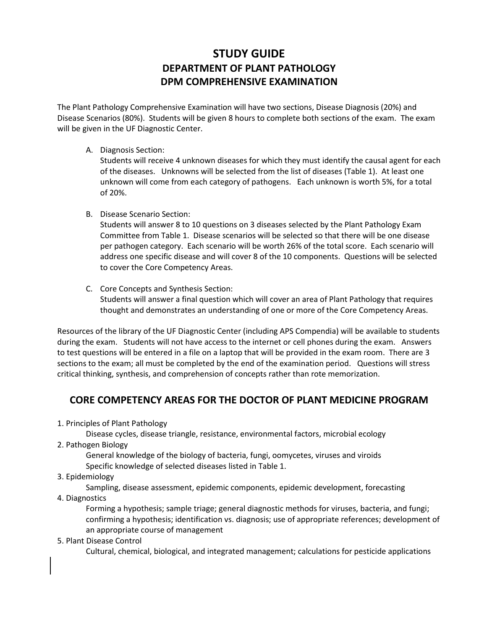## **STUDY GUIDE DEPARTMENT OF PLANT PATHOLOGY DPM COMPREHENSIVE EXAMINATION**

The Plant Pathology Comprehensive Examination will have two sections, Disease Diagnosis (20%) and Disease Scenarios (80%). Students will be given 8 hours to complete both sections of the exam. The exam will be given in the UF Diagnostic Center.

A. Diagnosis Section:

Students will receive 4 unknown diseases for which they must identify the causal agent for each of the diseases. Unknowns will be selected from the list of diseases (Table 1). At least one unknown will come from each category of pathogens. Each unknown is worth 5%, for a total of 20%.

B. Disease Scenario Section:

Students will answer 8 to 10 questions on 3 diseases selected by the Plant Pathology Exam Committee from Table 1. Disease scenarios will be selected so that there will be one disease per pathogen category. Each scenario will be worth 26% of the total score. Each scenario will address one specific disease and will cover 8 of the 10 components. Questions will be selected to cover the Core Competency Areas.

C. Core Concepts and Synthesis Section: Students will answer a final question which will cover an area of Plant Pathology that requires thought and demonstrates an understanding of one or more of the Core Competency Areas.

Resources of the library of the UF Diagnostic Center (including APS Compendia) will be available to students during the exam. Students will not have access to the internet or cell phones during the exam. Answers to test questions will be entered in a file on a laptop that will be provided in the exam room. There are 3 sections to the exam; all must be completed by the end of the examination period. Questions will stress critical thinking, synthesis, and comprehension of concepts rather than rote memorization.

## **CORE COMPETENCY AREAS FOR THE DOCTOR OF PLANT MEDICINE PROGRAM**

1. Principles of Plant Pathology

Disease cycles, disease triangle, resistance, environmental factors, microbial ecology 2. Pathogen Biology

General knowledge of the biology of bacteria, fungi, oomycetes, viruses and viroids Specific knowledge of selected diseases listed in Table 1.

3. Epidemiology

Sampling, disease assessment, epidemic components, epidemic development, forecasting 4. Diagnostics

- Forming a hypothesis; sample triage; general diagnostic methods for viruses, bacteria, and fungi; confirming a hypothesis; identification vs. diagnosis; use of appropriate references; development of
	- an appropriate course of management
- 5. Plant Disease Control

Cultural, chemical, biological, and integrated management; calculations for pesticide applications